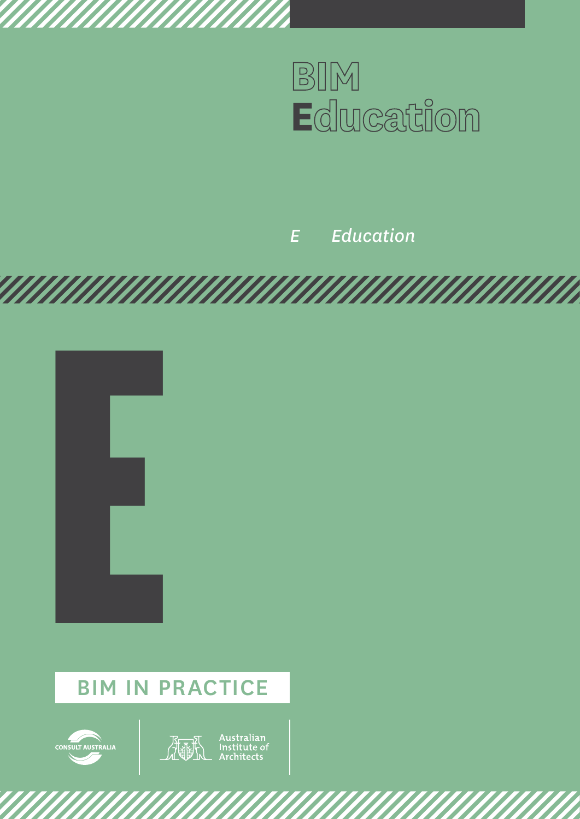

# *E Education*





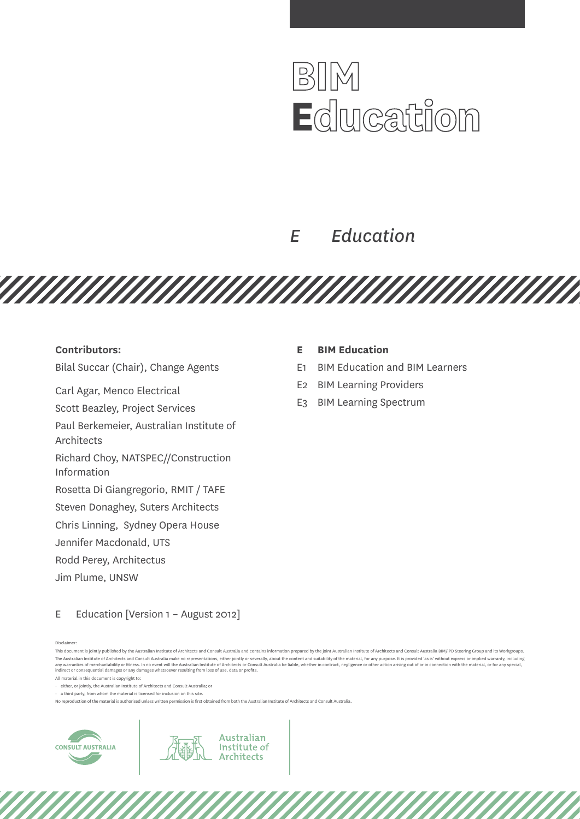# BIM **E**dlucation

# *E Education*

**Contributors:** 

Bilal Succar (Chair), Change Agents

Carl Agar, Menco Electrical

Scott Beazley, Project Services Paul Berkemeier, Australian Institute of

Architects

Richard Choy, NATSPEC//Construction Information

Rosetta Di Giangregorio, RMIT / TAFE

Steven Donaghey, Suters Architects

Chris Linning, Sydney Opera House

Jennifer Macdonald, UTS

Rodd Perey, Architectus

Jim Plume, UNSW

### E Education [Version 1 - August 2012]

#### Disclaimer:

All material in this document is copyright to:

• either, or jointly, the Australian Institute of Architects and Consult Australia; or

 $\cdot$  a third party, from whom the material is licensed for inclusion on this site.

No reproduction of the material is authorised unless written permission is first obtained from both the Australian Institute of Architects and Consult Australia.





### **E BIM Education**

<u>TAN MANAMAN MANAMAN MANAMAN M</u>

- E1 BIM Education and BIM Learners
- E2 BIM Learning Providers
- E3 BIM Learning Spectrum

This document is jointly published by the Australian Institute of Architects and Consult Australia and contains information prepared by the joint Australian Institute of Architects and Consult Australia BIM/IPD Steering Gr The Australian Institute of Architects and Consult Australia make no representations, either jointly or severally, about the content and suitability of the material, for any purpose, It is provided 'as is' without express any warranties of merchantability or fitness. In no event will the Australian Institute of Architects or Consult Australia be liable, whether in contract, negligence or other action arising out of or in connection with the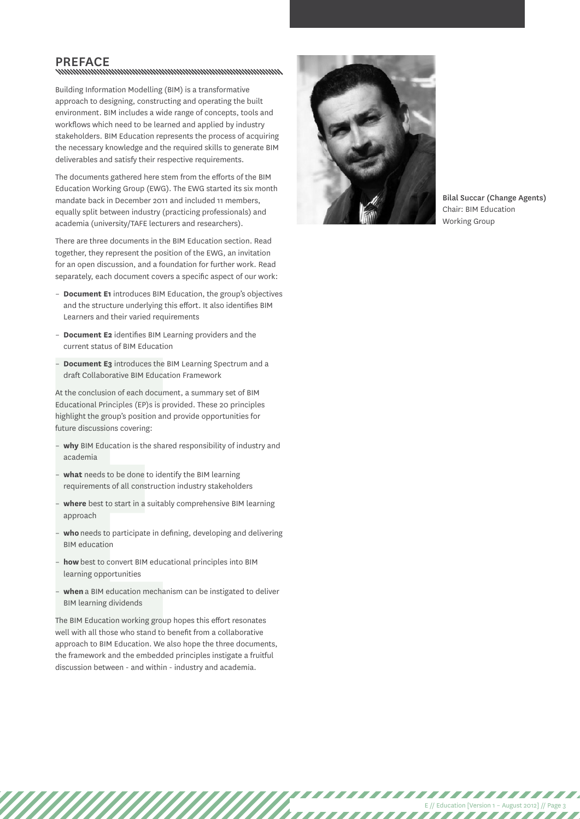# PREFACE<br>www.www.www.www.www.www.www.www.ww

Building Information Modelling (BIM) is a transformative approach to designing, constructing and operating the built environment. BIM includes a wide range of concepts, tools and workflows which need to be learned and applied by industry stakeholders. BIM Education represents the process of acquiring the necessary knowledge and the required skills to generate BIM deliverables and satisfy their respective requirements.

The documents gathered here stem from the efforts of the BIM Education Working Group (EWG). The EWG started its six month mandate back in December 2011 and included 11 members, equally split between industry (practicing professionals) and academia (university/TAFE lecturers and researchers).

There are three documents in the BIM Education section. Read together, they represent the position of the EWG, an invitation for an open discussion, and a foundation for further work. Read separately, each document covers a specific aspect of our work:

- **Document E1** introduces BIM Education, the group's objectives and the structure underlying this effort. It also identifies BIM Learners and their varied requirements
- **Document E2** identifies BIM Learning providers and the current status of BIM Education
- **Document E3** introduces the BIM Learning Spectrum and a draft Collaborative BIM Education Framework

At the conclusion of each document, a summary set of BIM Educational Principles (EP)s is provided. These 20 principles highlight the group's position and provide opportunities for future discussions covering:

- **why** BIM Education is the shared responsibility of industry and academia
- what needs to be done to identify the BIM learning requirements of all construction industry stakeholders
- **where** best to start in a suitably comprehensive BIM learning approach
- who needs to participate in defining, developing and delivering BIM education
- **how** best to convert BIM educational principles into BIM learning opportunities
- **when** a BIM education mechanism can be instigated to deliver BIM learning dividends

- Document E3 introduces the B<br>draft Collaborative BIM Educat<br>At the conclusion of each docume<br>Educational Principles (EP)s is pre-<br>highlight the group's position and<br>future discussions covering:<br>- **why** BIM Education is t The BIM Education working group hopes this effort resonates well with all those who stand to benefit from a collaborative approach to BIM Education. We also hope the three documents, the framework and the embedded principles instigate a fruitful discussion between - and within - industry and academia.



Bilal Succar (Change Agents) Chair: BIM Education Working Group

E // Education [Version 1 – August 2012] // Page 3

,,,,,,,,,,,,

,,,,,,,,,,,,,,,,,,,,,,

 $\overline{I}$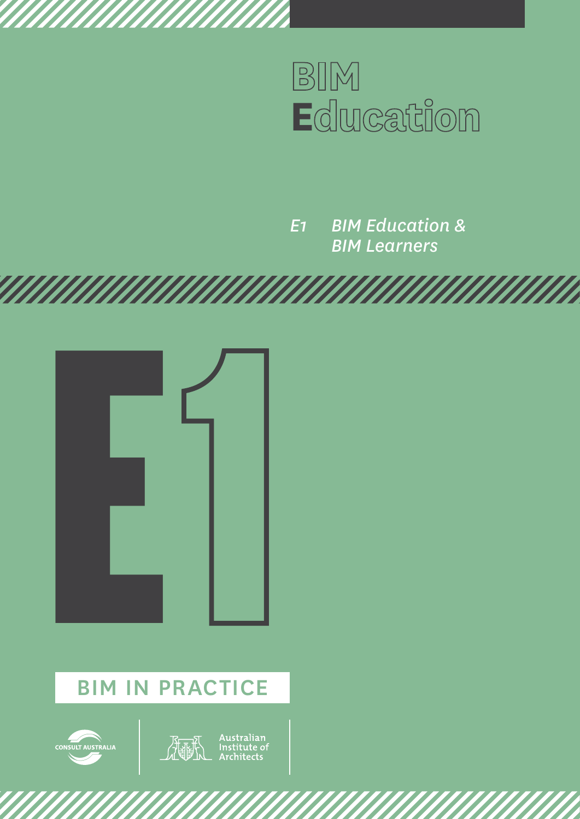

*E1 BIM Education & BIM Learners*





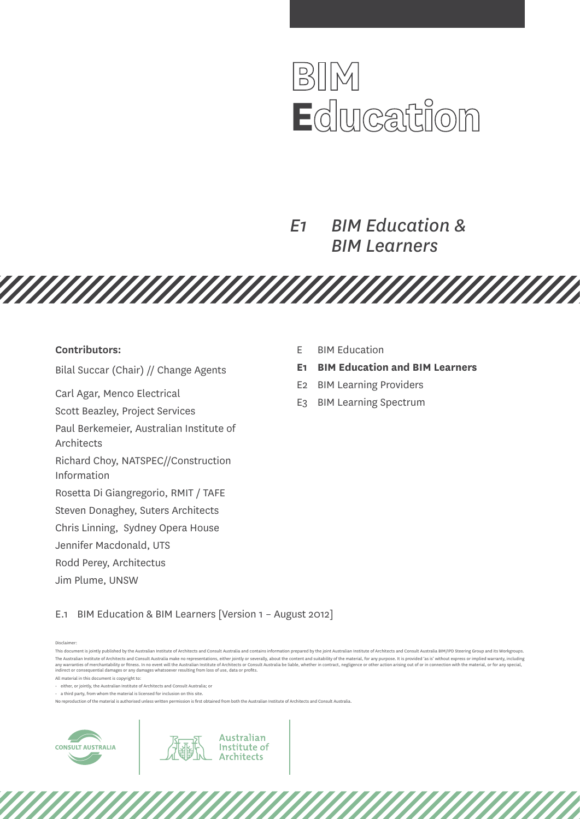

*E1 BIM Education & BIM Learners*

**Contributors:** 

Bilal Succar (Chair) // Change Agents

Carl Agar, Menco Electrical

Scott Beazley, Project Services

Paul Berkemeier, Australian Institute of

Architects

Richard Choy, NATSPEC//Construction Information

Rosetta Di Giangregorio, RMIT / TAFE

Steven Donaghey, Suters Architects

Chris Linning, Sydney Opera House

Jennifer Macdonald, UTS

Rodd Perey, Architectus

Jim Plume, UNSW

E BIM Education

<u>TAN MANAMAN MANAMAN MANAMAN M</u>

- **E1 BIM Education and BIM Learners**
- E2 BIM Learning Providers
- E3 BIM Learning Spectrum

E.1 BIM Education & BIM Learners [Version 1 – August 2012]

Disclaimer:

All material in this document is copyright to:

• either, or jointly, the Australian Institute of Architects and Consult Australia; or

 $\cdot$  a third party, from whom the material is licensed for inclusion on this site.

No reproduction of the material is authorised unless written permission is first obtained from both the Australian Institute of Architects and Consult Australia.

Australian

Institute of **Architects** 



This document is jointly published by the Australian Institute of Architects and Consult Australia and contains information prepared by the joint Australian Institute of Architects and Consult Australia BIM/IPD Steering Gr The Australian Institute of Architects and Consult Australia make no representations, either jointly or severally, about the content and suitability of the material, for any purpose, It is provided 'as is' without express any warranties of merchantability or fitness. In no event will the Australian Institute of Architects or Consult Australia be liable, whether in contract, negligence or other action arising out of or in connection with the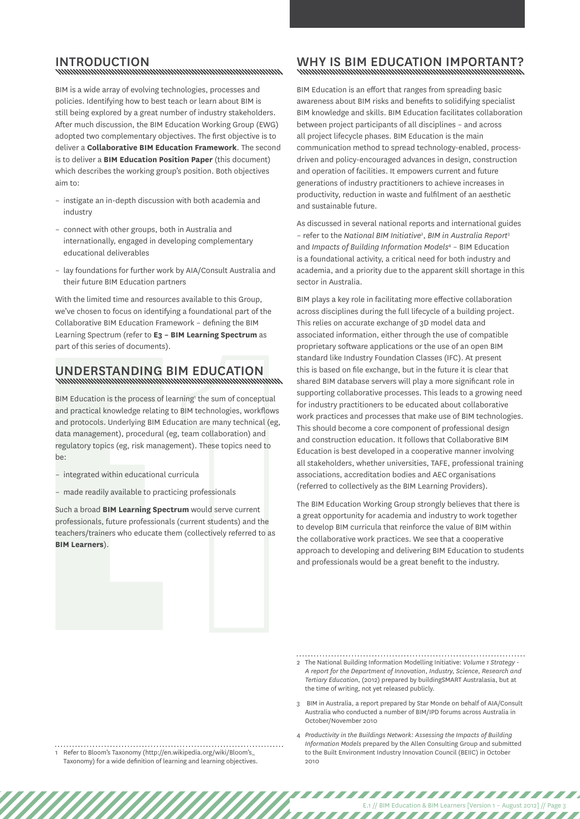## INTRODUCTION<br>www.www.www.www.www.www.www.www.ww

BIM is a wide array of evolving technologies, processes and policies. Identifying how to best teach or learn about BIM is still being explored by a great number of industry stakeholders. After much discussion, the BIM Education Working Group (EWG) adopted two complementary objectives. The first objective is to deliver a **Collaborative BIM Education Framework**. The second is to deliver a **BIM Education Position Paper** (this document) which describes the working group's position. Both objectives aim to:

- instigate an in-depth discussion with both academia and industry
- connect with other groups, both in Australia and internationally, engaged in developing complementary educational deliverables
- lay foundations for further work by AIA/Consult Australia and their future BIM Education partners

With the limited time and resources available to this Group, we've chosen to focus on identifying a foundational part of the Collaborative BIM Education Framework – defining the BIM Learning Spectrum (refer to **E3 – BIM Learning Spectrum** as part of this series of documents).

# Understanding BIM Education

**UNDERSTANDING E**<br>
WINDIMINITY MINITY MINITY BIM Education is the process of leand practical knowledge relating<br>
and protocols. Underlying BIM Ed<br>
data management), procedural (<br>
regulatory topics (eg, risk management)<br>
- BIM Education is the process of learning' the sum of conceptual and practical knowledge relating to BIM technologies, workflows and protocols. Underlying BIM Education are many technical (eg, data management), procedural (eg, team collaboration) and regulatory topics (eg, risk management). These topics need to be:

- integrated within educational curricula
- made readily available to practicing professionals

Such a broad **BIM Learning Spectrum** would serve current professionals, future professionals (current students) and the teachers/trainers who educate them (collectively referred to as **BIM Learners**).

### Why is BIM Education important?

BIM Education is an effort that ranges from spreading basic awareness about BIM risks and benefits to solidifying specialist BIM knowledge and skills. BIM Education facilitates collaboration between project participants of all disciplines – and across all project lifecycle phases. BIM Education is the main communication method to spread technology-enabled, processdriven and policy-encouraged advances in design, construction and operation of facilities. It empowers current and future generations of industry practitioners to achieve increases in productivity, reduction in waste and fulfilment of an aesthetic and sustainable future.

As discussed in several national reports and international guides – refer to the *National BIM Initiative*<sup>2</sup> , *BIM in Australia Report*<sup>3</sup> and *Impacts of Building Information Models*<sup>4</sup> – BIM Education is a foundational activity, a critical need for both industry and academia, and a priority due to the apparent skill shortage in this sector in Australia.

BIM plays a key role in facilitating more effective collaboration across disciplines during the full lifecycle of a building project. This relies on accurate exchange of 3D model data and associated information, either through the use of compatible proprietary software applications or the use of an open BIM standard like Industry Foundation Classes (IFC). At present this is based on file exchange, but in the future it is clear that shared BIM database servers will play a more significant role in supporting collaborative processes. This leads to a growing need for industry practitioners to be educated about collaborative work practices and processes that make use of BIM technologies. This should become a core component of professional design and construction education. It follows that Collaborative BIM Education is best developed in a cooperative manner involving all stakeholders, whether universities, TAFE, professional training associations, accreditation bodies and AEC organisations (referred to collectively as the BIM Learning Providers).

The BIM Education Working Group strongly believes that there is a great opportunity for academia and industry to work together to develop BIM curricula that reinforce the value of BIM within the collaborative work practices. We see that a cooperative approach to developing and delivering BIM Education to students and professionals would be a great benefit to the industry.

- 2 The National Building Information Modelling Initiative: *Volume 1 Strategy - A report for the Department of Innovation, Industry, Science, Research and Tertiary Education*, (2012) prepared by buildingSMART Australasia, but at the time of writing, not yet released publicly.
- 3 BIM in Australia, a report prepared by Star Monde on behalf of AIA/Consult Australia who conducted a number of BIM/IPD forums across Australia in October/November 2010
- 4 *Productivity in the Buildings Network: Assessing the Impacts of Building Information Models* prepared by the Allen Consulting Group and submitted to the Built Environment Industry Innovation Council (BEIIC) in October 2010

E.1 // BIM Education & BIM Learners [Version 1 – August 2012] // Page 3

,,,,,,,,,,,,,,,,,,,,,,,,,

7777777777777777

1 Refer to Bloom's Taxonomy [\(http://en.wikipedia.org/wiki/Bloom's\\_](http://en.wikipedia.org/wiki/Bloom) [Taxonomy](http://en.wikipedia.org/wiki/Bloom)) for a wide definition of learning and learning objectives.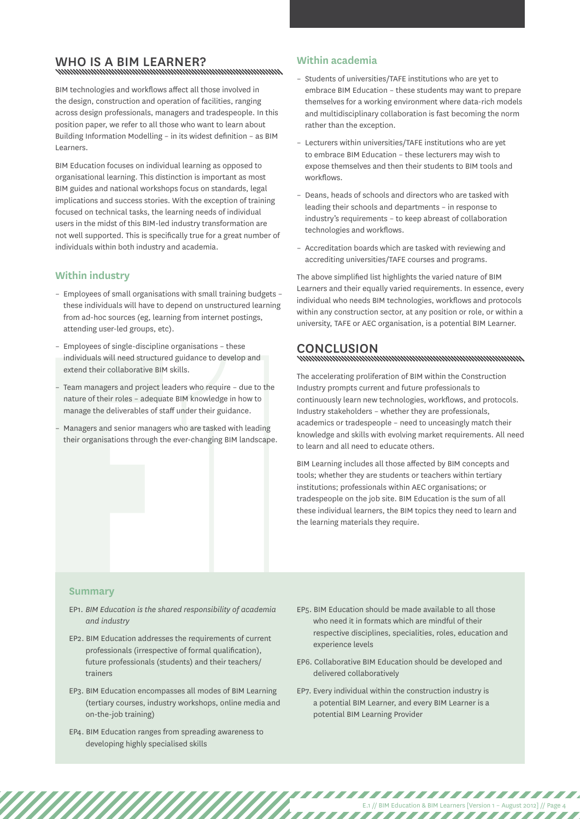# Who is a BIM Learner?

BIM technologies and workflows affect all those involved in the design, construction and operation of facilities, ranging across design professionals, managers and tradespeople. In this position paper, we refer to all those who want to learn about Building Information Modelling – in its widest definition – as BIM Learners.

BIM Education focuses on individual learning as opposed to organisational learning. This distinction is important as most BIM guides and national workshops focus on standards, legal implications and success stories. With the exception of training focused on technical tasks, the learning needs of individual users in the midst of this BIM-led industry transformation are not well supported. This is specifically true for a great number of individuals within both industry and academia.

### **Within industry**

- Employees of small organisations with small training budgets these individuals will have to depend on unstructured learning from ad-hoc sources (eg, learning from internet postings, attending user-led groups, etc).
- Employees of single-discipline organisations these individuals will need structured guidance to develop and extend their collaborative BIM skills.
- Team managers and project leaders who require due to the nature of their roles – adequate BIM knowledge in how to manage the deliverables of staff under their guidance.
- Managers and senior managers who are tasked with leading their organisations through the ever-changing BIM landscape.

### **Within academia**

- Students of universities/TAFE institutions who are yet to embrace BIM Education – these students may want to prepare themselves for a working environment where data-rich models and multidisciplinary collaboration is fast becoming the norm rather than the exception.
- Lecturers within universities/TAFE institutions who are yet to embrace BIM Education – these lecturers may wish to expose themselves and then their students to BIM tools and workflows.
- Deans, heads of schools and directors who are tasked with leading their schools and departments – in response to industry's requirements – to keep abreast of collaboration technologies and workflows.
- Accreditation boards which are tasked with reviewing and accrediting universities/TAFE courses and programs.

The above simplified list highlights the varied nature of BIM Learners and their equally varied requirements. In essence, every individual who needs BIM technologies, workflows and protocols within any construction sector, at any position or role, or within a university, TAFE or AEC organisation, is a potential BIM Learner.

## Conclusion

The accelerating proliferation of BIM within the Construction Industry prompts current and future professionals to continuously learn new technologies, workflows, and protocols. Industry stakeholders – whether they are professionals, academics or tradespeople – need to unceasingly match their knowledge and skills with evolving market requirements. All need to learn and all need to educate others.

BIM Learning includes all those affected by BIM concepts and tools; whether they are students or teachers within tertiary institutions; professionals within AEC organisations; or tradespeople on the job site. BIM Education is the sum of all these individual learners, the BIM topics they need to learn and the learning materials they require.

#### **Summary**

- EP1. *BIM Education is the shared responsibility of academia and industry*
- Individuals with rieed structured<br>
extend their collaborative BIM :<br>
 Team managers and project lea<br>
manage the deliverables of stat<br>
 Managers and senior managers<br>
their organisations through the<br>
their organisations th EP2. BIM Education addresses the requirements of current professionals (irrespective of formal qualification), future professionals (students) and their teachers/ trainers
	- EP3. BIM Education encompasses all modes of BIM Learning (tertiary courses, industry workshops, online media and on-the-job training)
	- EP4. BIM Education ranges from spreading awareness to developing highly specialised skills
- EP5. BIM Education should be made available to all those who need it in formats which are mindful of their respective disciplines, specialities, roles, education and experience levels
- EP6. Collaborative BIM Education should be developed and delivered collaboratively
- EP7. Every individual within the construction industry is a potential BIM Learner, and every BIM Learner is a potential BIM Learning Provider

E.1 // BIM Education & BIM Learners [Version 1 – August 2012] // Page 4

,,,,,,,,,,,,,,,,,,,,,,,,,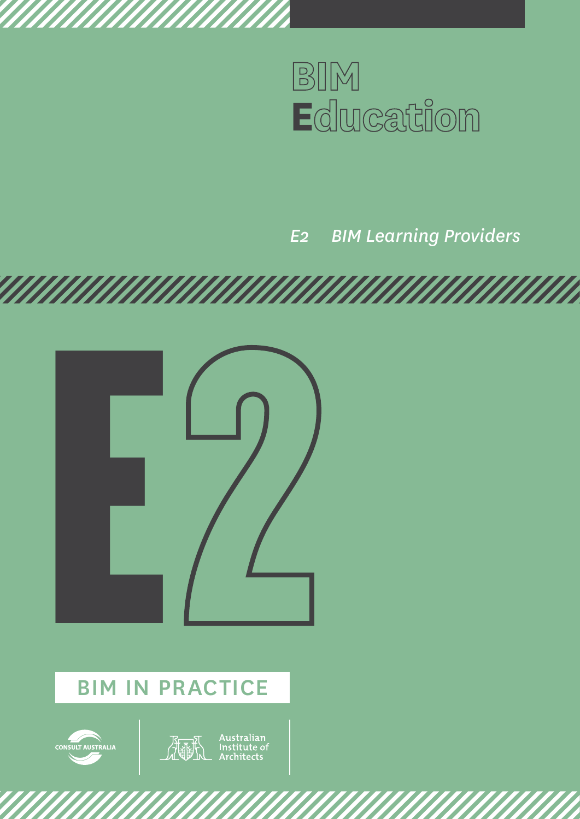

# *E2 BIM Learning Providers*





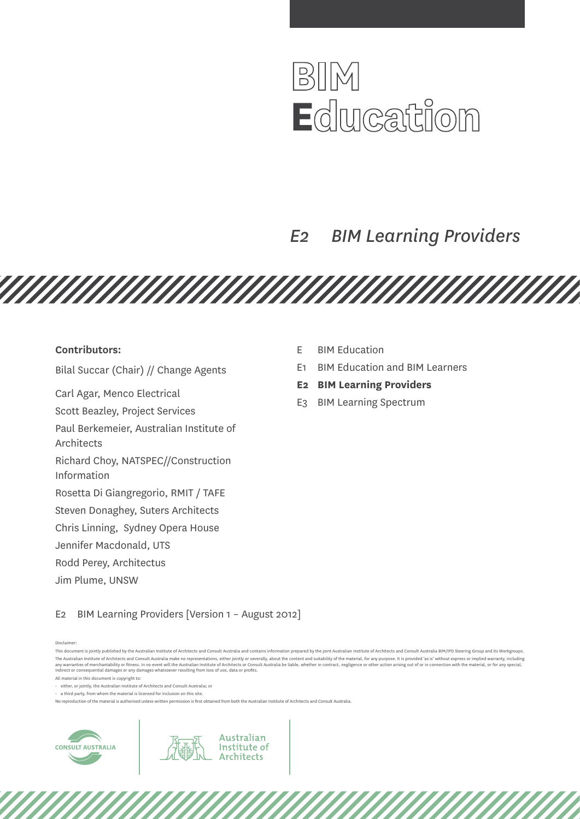

# *E2 BIM Learning Providers*

<u>TAN MANAMAN MANAMAN MANAMAN M</u>

#### **Contributors:**

Bilal Succar (Chair) // Change Agents

Carl Agar, Menco Electrical

Scott Beazley, Project Services

Paul Berkemeier, Australian Institute of

Architects

Richard Choy, NATSPEC//Construction Information

Rosetta Di Giangregorio, RMIT / TAFE

Steven Donaghey, Suters Architects

Chris Linning, Sydney Opera House

Jennifer Macdonald, UTS

Rodd Perey, Architectus

Jim Plume, UNSW

- E BIM Education
- E1 BIM Education and BIM Learners
- **E2 BIM Learning Providers**
- E3 BIM Learning Spectrum

E2 BIM Learning Providers [Version 1 – August 2012]

Disclaimer:

All material in this document is copyright to:

• either, or jointly, the Australian Institute of Architects and Consult Australia; or

 $\cdot$  a third party, from whom the material is licensed for inclusion on this site.

No reproduction of the material is authorised unless written permission is first obtained from both the Australian Institute of Architects and Consult Australia.

Australian

Institute of **Architects** 



This document is jointly published by the Australian Institute of Architects and Consult Australia and contains information prepared by the joint Australian Institute of Architects and Consult Australia BIM/IPD Steering Gr The Australian Institute of Architects and Consult Australia make no representations, either jointly or severally, about the content and suitability of the material, for any purpose, It is provided 'as is' without express any warranties of merchantability or fitness. In no event will the Australian Institute of Architects or Consult Australia be liable, whether in contract, negligence or other action arising out of or in connection with the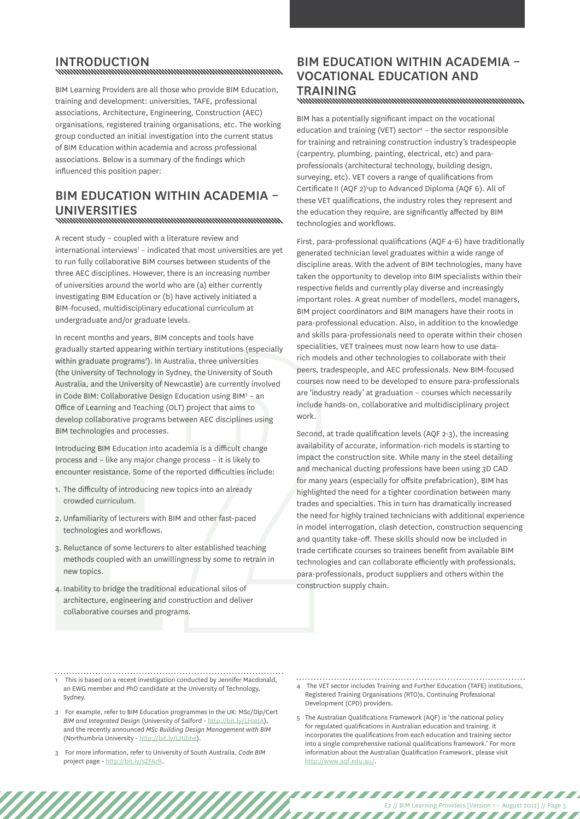INTRODUCTION<br>www.www.www.www.www.www.www.www.ww

BIM Learning Providers are all those who provide BIM Education, training and development: universities, TAFE, professional associations, Architecture, Engineering, Construction (AEC) organisations, registered training organisations, etc. The working group conducted an initial investigation into the current status of BIM Education within academia and across professional associations. Below is a summary of the findings which influenced this position paper:

## BIM Education within academia – UNIVERSITIES<br>www.www.www.www.www.www.www.www.ww

A recent study – coupled with a literature review and international interviews<sup>1</sup> - indicated that most universities are yet to run fully collaborative BIM courses between students of the three AEC disciplines. However, there is an increasing number of universities around the world who are (a) either currently investigating BIM Education or (b) have actively initiated a BIM-focused, multidisciplinary educational curriculum at undergraduate and/or graduate levels.

within graduate programs<sup>2</sup>). In Au<br>
(the University of Technology in S<br>
Australia, and the University of Ne<br>
in Code BIM: Collaborative Design<br>
Office of Learning and Teaching ((<br>
develop collaborative programs b<br>
BIM tec In recent months and years, BIM concepts and tools have gradually started appearing within tertiary institutions (especially within graduate programs<sup>2</sup>). In Australia, three universities (the University of Technology in Sydney, the University of South Australia, and the University of Newcastle) are currently involved in Code BIM: Collaborative Design Education using BIM<sup>3</sup> - an Office of Learning and Teaching (OLT) project that aims to develop collaborative programs between AEC disciplines using BIM technologies and processes.

Introducing BIM Education into academia is a difficult change process and – like any major change process – it is likely to encounter resistance. Some of the reported difficulties include:

- 1. The difficulty of introducing new topics into an already crowded curriculum.
- 2. Unfamiliarity of lecturers with BIM and other fast-paced technologies and workflows.
- 3. Reluctance of some lecturers to alter established teaching methods coupled with an unwillingness by some to retrain in new topics.
- 4.Inability to bridge the traditional educational silos of architecture, engineering and construction and deliver collaborative courses and programs.

## BIM Education within academia – vocational education and TRAINING<br>www.www.www.www.www.www.www.www.www.

BIM has a potentially significant impact on the vocational education and training (VET) sector<sup>4</sup> - the sector responsible for training and retraining construction industry's tradespeople (carpentry, plumbing, painting, electrical, etc) and paraprofessionals (architectural technology, building design, surveying, etc). VET covers a range of qualifications from Certificate II (AQF 2)<sup>5</sup>up to Advanced Diploma (AQF 6). All of these VET qualifications, the industry roles they represent and the education they require, are significantly affected by BIM technologies and workflows.

First, para-professional qualifications (AQF 4-6) have traditionally generated technician level graduates within a wide range of discipline areas. With the advent of BIM technologies, many have taken the opportunity to develop into BIM specialists within their respective fields and currently play diverse and increasingly important roles. A great number of modellers, model managers, BIM project coordinators and BIM managers have their roots in para-professional education. Also, in addition to the knowledge and skills para-professionals need to operate within their chosen specialities, VET trainees must now learn how to use datarich models and other technologies to collaborate with their peers, tradespeople, and AEC professionals. New BIM-focused courses now need to be developed to ensure para-professionals are 'industry ready' at graduation – courses which necessarily include hands-on, collaborative and multidisciplinary project work.

Second, at trade qualification levels (AQF 2-3), the increasing availability of accurate, information-rich models is starting to impact the construction site. While many in the steel detailing and mechanical ducting professions have been using 3D CAD for many years (especially for offsite prefabrication), BIM has highlighted the need for a tighter coordination between many trades and specialties. This in turn has dramatically increased the need for highly trained technicians with additional experience in model interrogation, clash detection, construction sequencing and quantity take-off. These skills should now be included in trade certificate courses so trainees benefit from available BIM technologies and can collaborate efficiently with professionals, para-professionals, product suppliers and others within the construction supply chain.

- 1 This is based on a recent investigation conducted by Jennifer Macdonald, an EWG member and PhD candidate at the University of Technology, Sydney.
- 2 For example, refer to BIM Education programmes in the UK: MSc/Dip/Cert *BIM and Integrated Design* (University of Salford - [http://bit.ly/LHIetA\)](http://bit.ly/LHIetA), and the recently announced *MSc Building Design Management with BIM*  (Northumbria University - [http://bit.ly/LHIbhe\)](http://bit.ly/LHIbhe).
- 3 For more information, refer to University of South Australia, *Code BIM*  project page - <http://bit.ly/sZFArR>.
- 4 The VET sector includes Training and Further Education (TAFE) institutions, Registered Training Organisations (RTO)s, Continuing Professional Development (CPD) providers.
- 5 The Australian Qualifications Framework (AQF) is 'the national policy for regulated qualifications in Australian education and training. It incorporates the qualifications from each education and training sector into a single comprehensive national qualifications framework.' For more information about the Australian Qualification Framework, please visit [http://www.aqf.edu.au/.](http://www.aqf.edu.au/)

77777

E2 // BIM Learning Providers [Version 1 – August 2012] // Page 3

,,,,,,,,,,,,,,,,,,,,,,,,,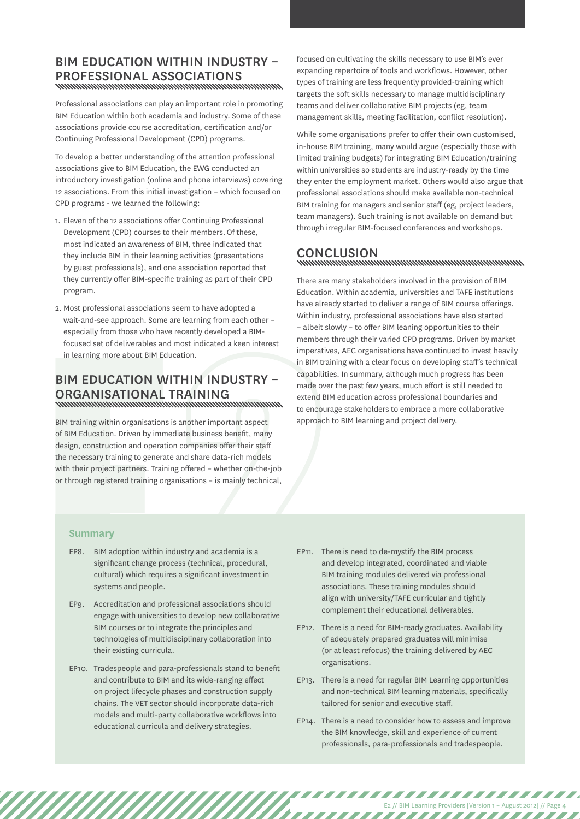### BIM Education within industry – professional associations

Professional associations can play an important role in promoting BIM Education within both academia and industry. Some of these associations provide course accreditation, certification and/or Continuing Professional Development (CPD) programs.

To develop a better understanding of the attention professional associations give to BIM Education, the EWG conducted an introductory investigation (online and phone interviews) covering 12 associations. From this initial investigation – which focused on CPD programs - we learned the following:

- 1. Eleven of the 12 associations offer Continuing Professional Development (CPD) courses to their members. Of these, most indicated an awareness of BIM, three indicated that they include BIM in their learning activities (presentations by guest professionals), and one association reported that they currently offer BIM-specific training as part of their CPD program.
- 2. Most professional associations seem to have adopted a wait-and-see approach. Some are learning from each other – especially from those who have recently developed a BIMfocused set of deliverables and most indicated a keen interest in learning more about BIM Education.

## BIM Education within industry – ORGANISATIONAL TRAINING<br>www.www.www.www.www.www.www.www.ww

**BIM EDUCATION W**<br> **ORGANISATIONAL**<br>
SIM training within organisations<br>
of BIM Education. Driven by imme<br>
design, construction and operation<br>
the necessary training to generat<br>
with their project partners. Training organis BIM training within organisations is another important aspect of BIM Education. Driven by immediate business benefit, many design, construction and operation companies offer their staff the necessary training to generate and share data-rich models with their project partners. Training offered – whether on-the-job or through registered training organisations – is mainly technical,

focused on cultivating the skills necessary to use BIM's ever expanding repertoire of tools and workflows. However, other types of training are less frequently provided-training which targets the soft skills necessary to manage multidisciplinary teams and deliver collaborative BIM projects (eg, team management skills, meeting facilitation, conflict resolution).

While some organisations prefer to offer their own customised, in-house BIM training, many would argue (especially those with limited training budgets) for integrating BIM Education/training within universities so students are industry-ready by the time they enter the employment market. Others would also argue that professional associations should make available non-technical BIM training for managers and senior staff (eg, project leaders, team managers). Such training is not available on demand but through irregular BIM-focused conferences and workshops.

# CONCLUSION<br>http://www.https.com/www.https.com/www.html

There are many stakeholders involved in the provision of BIM Education. Within academia, universities and TAFE institutions have already started to deliver a range of BIM course offerings. Within industry, professional associations have also started – albeit slowly – to offer BIM leaning opportunities to their members through their varied CPD programs. Driven by market imperatives, AEC organisations have continued to invest heavily in BIM training with a clear focus on developing staff's technical capabilities. In summary, although much progress has been made over the past few years, much effort is still needed to extend BIM education across professional boundaries and to encourage stakeholders to embrace a more collaborative approach to BIM learning and project delivery.

#### **Summary**

- EP8. BIM adoption within industry and academia is a significant change process (technical, procedural, cultural) which requires a significant investment in systems and people.
- EP9. Accreditation and professional associations should engage with universities to develop new collaborative BIM courses or to integrate the principles and technologies of multidisciplinary collaboration into their existing curricula.
- EP10. Tradespeople and para-professionals stand to benefit and contribute to BIM and its wide-ranging effect on project lifecycle phases and construction supply chains. The VET sector should incorporate data-rich models and multi-party collaborative workflows into educational curricula and delivery strategies.
- EP11. There is need to de-mystify the BIM process and develop integrated, coordinated and viable BIM training modules delivered via professional associations. These training modules should align with university/TAFE curricular and tightly complement their educational deliverables.
- EP12. There is a need for BIM-ready graduates. Availability of adequately prepared graduates will minimise (or at least refocus) the training delivered by AEC organisations.
- EP13. There is a need for regular BIM Learning opportunities and non-technical BIM learning materials, specifically tailored for senior and executive staff.
- EP14. There is a need to consider how to assess and improve the BIM knowledge, skill and experience of current professionals, para-professionals and tradespeople.

E2 // BIM Learning Providers [Version 1 – August 2012] // Page 4

,,,,,,,,,,,,,,,,,,,,,,,,,

,,,,,,,,,,,,,,,,,,,,,,,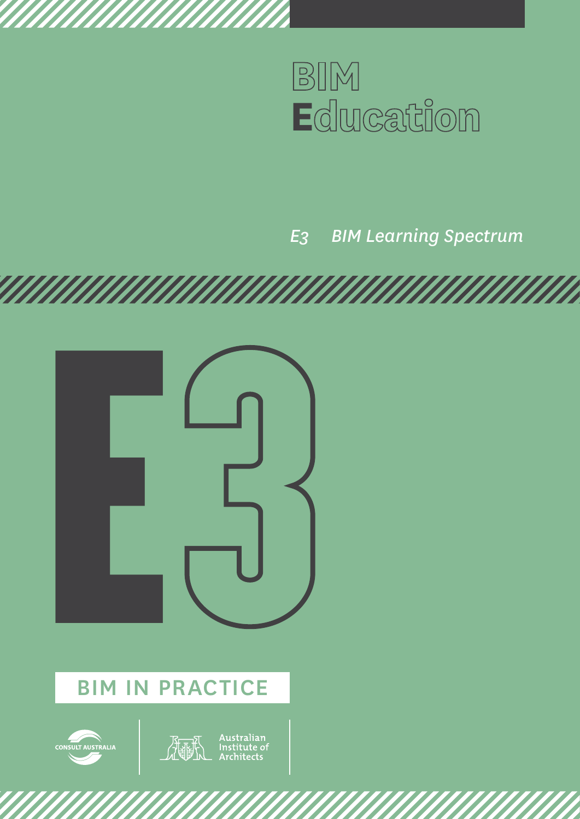

*E3 BIM Learning Spectrum*





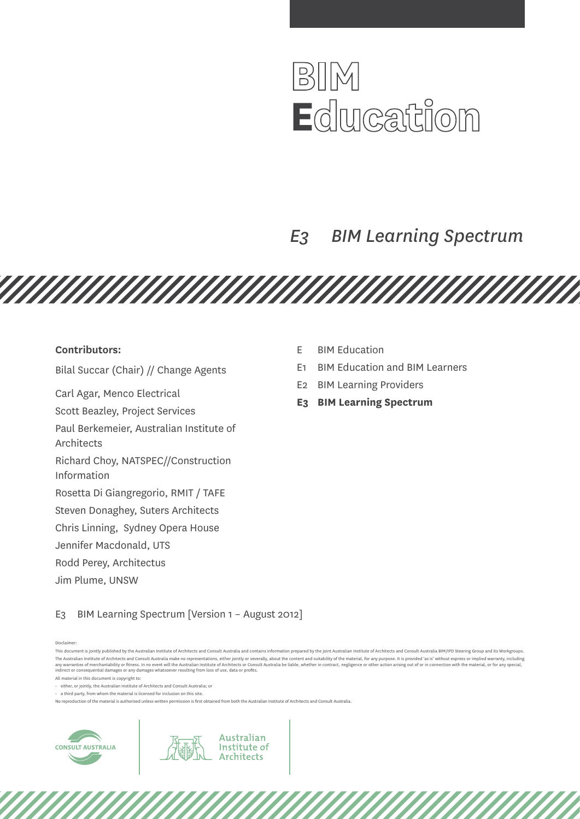

# *E3 BIM Learning Spectrum*

<u>TAN MANAMAN MANAMAN MANAMAN M</u>

#### **Contributors:**

Bilal Succar (Chair) // Change Agents

Carl Agar, Menco Electrical

Scott Beazley, Project Services

Paul Berkemeier, Australian Institute of

Architects

Richard Choy, NATSPEC//Construction Information

Rosetta Di Giangregorio, RMIT / TAFE

Steven Donaghey, Suters Architects

Chris Linning, Sydney Opera House

Jennifer Macdonald, UTS

Rodd Perey, Architectus

Jim Plume, UNSW

- E BIM Education
- E1 BIM Education and BIM Learners
- E2 BIM Learning Providers
- **E3 BIM Learning Spectrum**

E3 BIM Learning Spectrum [Version 1 – August 2012]

Disclaimer:

All material in this document is copyright to:

• either, or jointly, the Australian Institute of Architects and Consult Australia; or

 $\cdot$  a third party, from whom the material is licensed for inclusion on this site.

No reproduction of the material is authorised unless written permission is first obtained from both the Australian Institute of Architects and Consult Australia.

Australian

Institute of **Architects** 



This document is jointly published by the Australian Institute of Architects and Consult Australia and contains information prepared by the joint Australian Institute of Architects and Consult Australia BIM/IPD Steering Gr The Australian Institute of Architects and Consult Australia make no representations, either iointly or severally, about the content and suitability of the material, for any purpose, It is provided 'as is' without express any warranties of merchantability or fitness. In no event will the Australian Institute of Architects or Consult Australia be liable, whether in contract, negligence or other action arising out of or in connection with the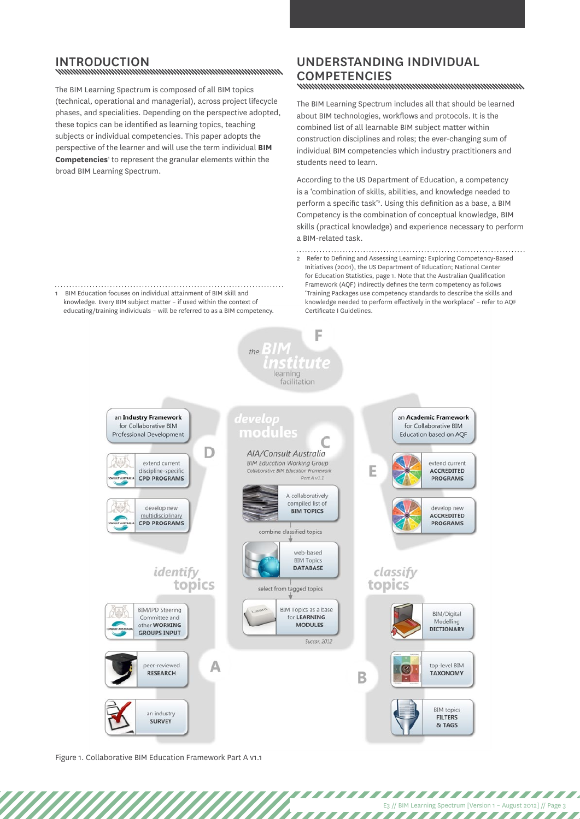# INTRODUCTION<br>www.www.www.www.www.www.www.www.ww

The BIM Learning Spectrum is composed of all BIM topics (technical, operational and managerial), across project lifecycle phases, and specialities. Depending on the perspective adopted, these topics can be identified as learning topics, teaching subjects or individual competencies. This paper adopts the perspective of the learner and will use the term individual **BIM**  Competencies<sup>1</sup> to represent the granular elements within the broad BIM Learning Spectrum.

## Understanding individual COMPETENCIES<br>www.www.www.www.www.www.www.www.ww

The BIM Learning Spectrum includes all that should be learned about BIM technologies, workflows and protocols. It is the combined list of all learnable BIM subject matter within construction disciplines and roles; the ever-changing sum of individual BIM competencies which industry practitioners and students need to learn.

According to the US Department of Education, a competency is a 'combination of skills, abilities, and knowledge needed to perform a specific task'<sup>2</sup>. Using this definition as a base, a BIM Competency is the combination of conceptual knowledge, BIM skills (practical knowledge) and experience necessary to perform a BIM-related task.

 $\begin{minipage}[c]{0.9\linewidth} \begin{tabular}{l} \textbf{2} \quad \textbf{Refer to Defining and Assessing Learning: Exploring Computer, Based} \end{tabular} \end{minipage}$ Initiatives (2001), the US Department of Education; National Center for Education Statistics, page 1. Note that the Australian Qualification Framework (AQF) indirectly defines the term competency as follows 'Training Packages use competency standards to describe the skills and knowledge needed to perform effectively in the workplace' – refer to AQF Certificate I Guidelines.

1 BIM Education focuses on individual attainment of BIM skill and knowledge. Every BIM subject matter – if used within the context of educating/training individuals – will be referred to as a BIM competency.

an Industry Framework

for Collaborative BIM

Professional Development

extend current

discipline-specific

**CPD PROGRAMS** 

develop new

multidisciplinary CPD PROGRAMS

**BIM/IPD Steering** 

Committee and

other **WORKING** 

**GROUPS INPUT** 

por-roviewed **RESEARCH** 

identify

topics

Α

AIA/Consult Australia **BIM Education Working Group** Collaborative BIM Education Fran Part A v1.1

learning facilitation

 $tho$ 

develon

modules

F



combine classified topics







Succar, 2012

B









an Academic Framework

for Collaborative BIM

Education based on AQF

E

extend current

ACCREDITED

**PROGRAMS** 

develop new

ACCREDITED

PROGRAMS



**BIM** topics **FILTERS** & TAGS

E3 // BIM Learning Spectrum [Version 1 – August 2012] // Page 3

,,,,,,,,,,,,,,,,,,,,,,,,

777777777777

Figure 1. Collaborative BIM Education Framework Part A v1.1

an industry

**SURVEY**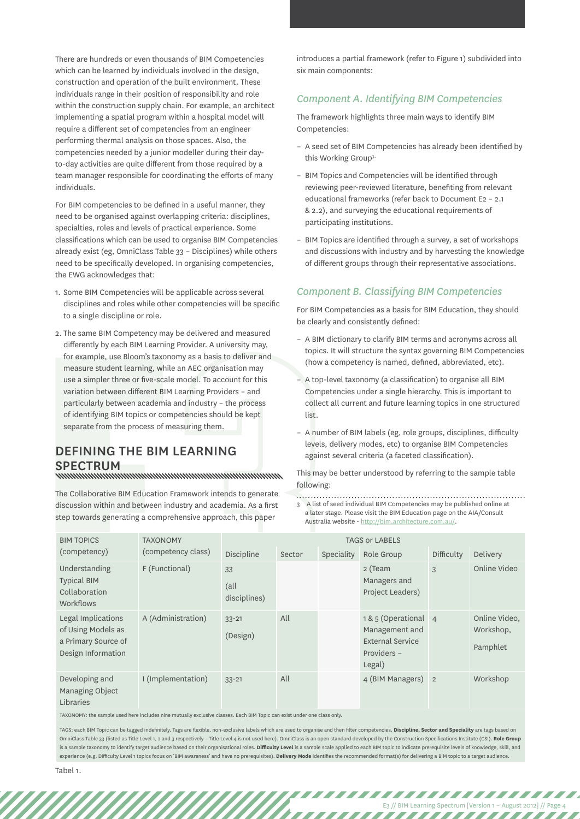There are hundreds or even thousands of BIM Competencies which can be learned by individuals involved in the design, construction and operation of the built environment. These individuals range in their position of responsibility and role within the construction supply chain. For example, an architect implementing a spatial program within a hospital model will require a different set of competencies from an engineer performing thermal analysis on those spaces. Also, the competencies needed by a junior modeller during their dayto-day activities are quite different from those required by a team manager responsible for coordinating the efforts of many individuals.

For BIM competencies to be defined in a useful manner, they need to be organised against overlapping criteria: disciplines, specialties, roles and levels of practical experience. Some classifications which can be used to organise BIM Competencies already exist (eg, OmniClass Table 33 – Disciplines) while others need to be specifically developed. In organising competencies, the EWG acknowledges that:

- 1. Some BIM Competencies will be applicable across several disciplines and roles while other competencies will be specific to a single discipline or role.
- 2. The same BIM Competency may be delivered and measured differently by each BIM Learning Provider. A university may, for example, use Bloom's taxonomy as a basis to deliver and measure student learning, while an AEC organisation may use a simpler three or five-scale model. To account for this variation between different BIM Learning Providers – and particularly between academia and industry – the process of identifying BIM topics or competencies should be kept separate from the process of measuring them.

## Defining the BIM Learning SPECTRUM<br>www.www.www.www.www.www.www.www.www.

introduces a partial framework (refer to Figure 1) subdivided into six main components:

#### *Component A. Identifying BIM Competencies*

The framework highlights three main ways to identify BIM Competencies:

- A seed set of BIM Competencies has already been identified by this Working Group3.
- BIM Topics and Competencies will be identified through reviewing peer-reviewed literature, benefiting from relevant educational frameworks (refer back to Document E2 – 2.1 & 2.2), and surveying the educational requirements of participating institutions.
- BIM Topics are identified through a survey, a set of workshops and discussions with industry and by harvesting the knowledge of different groups through their representative associations.

#### *Component B. Classifying BIM Competencies*

For BIM Competencies as a basis for BIM Education, they should be clearly and consistently defined:

- A BIM dictionary to clarify BIM terms and acronyms across all topics. It will structure the syntax governing BIM Competencies (how a competency is named, defined, abbreviated, etc).
- A top-level taxonomy (a classification) to organise all BIM Competencies under a single hierarchy. This is important to collect all current and future learning topics in one structured list.
- A number of BIM labels (eg, role groups, disciplines, difficulty levels, delivery modes, etc) to organise BIM Competencies against several criteria (a faceted classification).

E3 // BIM Learning Spectrum [Version 1 – August 2012] // Page 4

,,,,,,,,,,,,,,,,,

,,,,,,,,,,,,,,,,,,,,,,,,,,

| ior champic, use biooni's taxonomy as a basis to uctiver and<br>measure student learning, while an AEC organisation may<br>use a simpler three or five-scale model. To account for this<br>variation between different BIM Learning Providers - and<br>particularly between academia and industry - the process<br>of identifying BIM topics or competencies should be kept<br>separate from the process of measuring them.<br><b>DEFINING THE BIM LEARNING</b><br><b>SPECTRUM</b><br>www.munummunummunummunummunum |                                       |                            |            | (how a competency is named, defined, abbreviated, etc).<br>- A top-level taxonomy (a classification) to organise all BIM<br>Competencies under a single hierarchy. This is important to<br>collect all current and future learning topics in one structured<br>list.<br>- A number of BIM labels (eg, role groups, disciplines, difficulty<br>levels, delivery modes, etc) to organise BIM Competencies<br>against several criteria (a faceted classification).<br>This may be better understood by referring to the sample table |                                                                                                                                                                                                          |                |                                        |  |
|---------------------------------------------------------------------------------------------------------------------------------------------------------------------------------------------------------------------------------------------------------------------------------------------------------------------------------------------------------------------------------------------------------------------------------------------------------------------------------------------------------------------|---------------------------------------|----------------------------|------------|-----------------------------------------------------------------------------------------------------------------------------------------------------------------------------------------------------------------------------------------------------------------------------------------------------------------------------------------------------------------------------------------------------------------------------------------------------------------------------------------------------------------------------------|----------------------------------------------------------------------------------------------------------------------------------------------------------------------------------------------------------|----------------|----------------------------------------|--|
| The Collaborative BIM Education Framework intends to generate<br>discussion within and between industry and academia. As a first<br>step towards generating a comprehensive approach, this paper                                                                                                                                                                                                                                                                                                                    |                                       |                            | following: |                                                                                                                                                                                                                                                                                                                                                                                                                                                                                                                                   | 3 A list of seed individual BIM Competencies may be published online at<br>a later stage. Please visit the BIM Education page on the AIA/Consult<br>Australia website - http://bim.architecture.com.au/. |                |                                        |  |
| <b>BIM TOPICS</b><br>(competency)                                                                                                                                                                                                                                                                                                                                                                                                                                                                                   | <b>TAXONOMY</b><br>(competency class) | Discipline                 | Sector     | Speciality                                                                                                                                                                                                                                                                                                                                                                                                                                                                                                                        | <b>TAGS or LABELS</b><br>Role Group                                                                                                                                                                      | Difficulty     | Delivery                               |  |
| Understanding<br><b>Typical BIM</b><br>Collaboration<br>Workflows                                                                                                                                                                                                                                                                                                                                                                                                                                                   | F (Functional)                        | 33<br>(all<br>disciplines) |            |                                                                                                                                                                                                                                                                                                                                                                                                                                                                                                                                   | 2 (Team<br>Managers and<br>Project Leaders)                                                                                                                                                              | 3              | Online Video                           |  |
| Legal Implications<br>of Using Models as<br>a Primary Source of<br>Design Information                                                                                                                                                                                                                                                                                                                                                                                                                               | A (Administration)                    | $33 - 21$<br>(Design)      | All        |                                                                                                                                                                                                                                                                                                                                                                                                                                                                                                                                   | 1& 5 (Operational 4<br>Management and<br><b>External Service</b><br>Providers -<br>Legal)                                                                                                                |                | Online Video,<br>Workshop,<br>Pamphlet |  |
| Developing and<br>Managing Object<br>Libraries                                                                                                                                                                                                                                                                                                                                                                                                                                                                      | I (Implementation)                    | $33 - 21$                  | All        |                                                                                                                                                                                                                                                                                                                                                                                                                                                                                                                                   | 4 (BIM Managers)                                                                                                                                                                                         | $\overline{2}$ | Workshop                               |  |

TAXONOMY: the sample used here includes nine mutually exclusive classes. Each BIM Topic can exist under one class only.

TAGS: each BIM Topic can be tagged indefinitely. Tags are flexible, non-exclusive labels which are used to organise and then filter competencies. **Discipline, Sector and Speciality** are tags based on OmniClass Table 33 (listed as Title Level 1, 2 and 3 respectively – Title Level 4 is not used here). OmniClass is an open standard developed by the Construction Specifications Institute (CSI). **Role Group** is a sample taxonomy to identify target audience based on their organisational roles. **Difficulty Level** is a sample scale applied to each BIM topic to indicate prerequisite levels of knowledge, skill, and experience (e.g. Difficulty Level 1 topics focus on 'BIM awareness' and have no prerequisites). **Delivery Mode** identifies the recommended format(s) for delivering a BIM topic to a target audience.

777777

Tabel 1.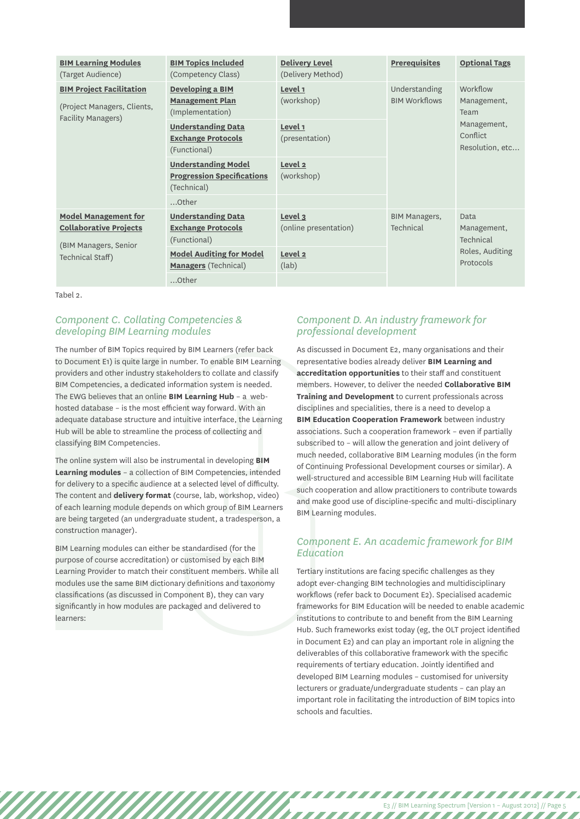| <b>BIM Learning Modules</b><br>(Target Audience)             | <b>BIM Topics Included</b><br>(Competency Class)                               | <b>Delivery Level</b><br>(Delivery Method) | <b>Prerequisites</b>              | <b>Optional Tags</b>                                              |  |
|--------------------------------------------------------------|--------------------------------------------------------------------------------|--------------------------------------------|-----------------------------------|-------------------------------------------------------------------|--|
| <b>BIM Project Facilitation</b>                              | <b>Developing a BIM</b>                                                        | Level 1                                    | Understanding                     | Workflow                                                          |  |
| (Project Managers, Clients,                                  | <b>Management Plan</b><br>(Implementation)                                     | (workshop)                                 | <b>BIM Workflows</b>              | Management,<br>Team<br>Management,<br>Conflict<br>Resolution, etc |  |
| Facility Managers)                                           | <b>Understanding Data</b><br><b>Exchange Protocols</b><br>(Functional)         | Level 1<br>(presentation)                  |                                   |                                                                   |  |
|                                                              | <b>Understanding Model</b><br><b>Progression Specifications</b><br>(Technical) | Level 2<br>(workshop)                      |                                   |                                                                   |  |
|                                                              | Other                                                                          |                                            |                                   |                                                                   |  |
| <b>Model Management for</b><br><b>Collaborative Projects</b> | <b>Understanding Data</b><br><b>Exchange Protocols</b><br>(Functional)         | Level $3$<br>(online presentation)         | <b>BIM Managers,</b><br>Technical | Data<br>Management,<br>Technical<br>Roles, Auditing<br>Protocols  |  |
| (BIM Managers, Senior<br>Technical Staff)                    | <b>Model Auditing for Model</b><br><b>Managers</b> (Technical)                 | Level 2<br>(lab)                           |                                   |                                                                   |  |
|                                                              | Other                                                                          |                                            |                                   |                                                                   |  |

Tabel 2.

### *Component C. Collating Competencies & developing BIM Learning modules*

to Document E1) is quite large in providers and other industry stak<br>BIM Competencies, a dedicated in<br>The EWG believes that an online I<br>hosted database – is the most eff<br>adequate database structure and<br>Hub will be able to s The number of BIM Topics required by BIM Learners (refer back to Document E1) is quite large in number. To enable BIM Learning providers and other industry stakeholders to collate and classify BIM Competencies, a dedicated information system is needed. The EWG believes that an online **BIM Learning Hub** – a webhosted database – is the most efficient way forward. With an adequate database structure and intuitive interface, the Learning Hub will be able to streamline the process of collecting and classifying BIM Competencies.

The online system will also be instrumental in developing **BIM Learning modules** – a collection of BIM Competencies, intended for delivery to a specific audience at a selected level of difficulty. The content and **delivery format** (course, lab, workshop, video) of each learning module depends on which group of BIM Learners are being targeted (an undergraduate student, a tradesperson, a construction manager).

BIM Learning modules can either be standardised (for the purpose of course accreditation) or customised by each BIM Learning Provider to match their constituent members. While all modules use the same BIM dictionary definitions and taxonomy classifications (as discussed in Component B), they can vary significantly in how modules are packaged and delivered to learners:

### *Component D. An industry framework for professional development*

As discussed in Document E2, many organisations and their representative bodies already deliver **BIM Learning and accreditation opportunities** to their staff and constituent members. However, to deliver the needed **Collaborative BIM Training and Development** to current professionals across disciplines and specialities, there is a need to develop a **BIM Education Cooperation Framework** between industry associations. Such a cooperation framework – even if partially subscribed to – will allow the generation and joint delivery of much needed, collaborative BIM Learning modules (in the form of Continuing Professional Development courses or similar). A well-structured and accessible BIM Learning Hub will facilitate such cooperation and allow practitioners to contribute towards and make good use of discipline-specific and multi-disciplinary BIM Learning modules.

### *Component E. An academic framework for BIM Education*

Tertiary institutions are facing specific challenges as they adopt ever-changing BIM technologies and multidisciplinary workflows (refer back to Document E2). Specialised academic frameworks for BIM Education will be needed to enable academic institutions to contribute to and benefit from the BIM Learning Hub. Such frameworks exist today (eg, the OLT project identified in Document E2) and can play an important role in aligning the deliverables of this collaborative framework with the specific requirements of tertiary education. Jointly identified and developed BIM Learning modules – customised for university lecturers or graduate/undergraduate students – can play an important role in facilitating the introduction of BIM topics into schools and faculties.

 $\boldsymbol{Z}$  ,  $\boldsymbol{Z}$  ,  $\boldsymbol{Z}$ 

E3 // BIM Learning Spectrum [Version 1 – August 2012] // Page 5

,,,,,,,,,,,,,,,,,